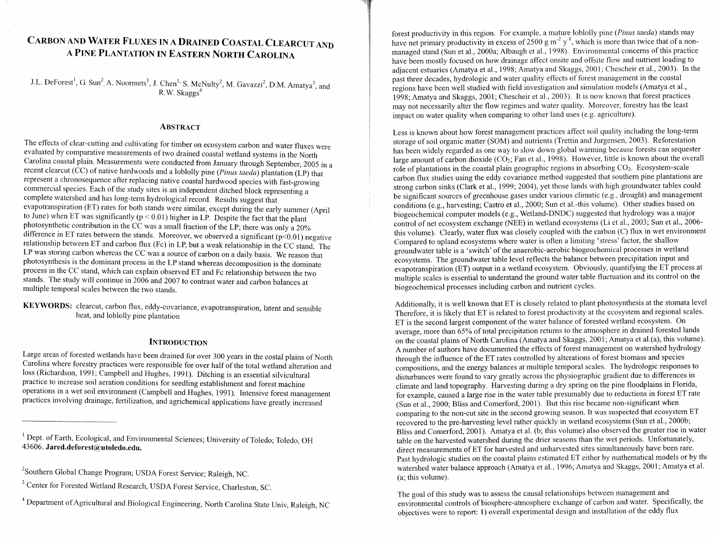# **CARBON AND WATER FLUXES IN A DRAINED COASTAL CLEARCUT AND A PINE PLANTATION IN EASTERN NORTH CAROLINA**

J.L. DeForest<sup>1</sup>, G. Sun<sup>2</sup>, A. Noormets<sup>1</sup>, J. Chen<sup>1,</sup> S. McNulty<sup>2</sup>, M. Gavazzi<sup>2</sup>, D.M. Amatya<sup>3</sup>, and R.W. Skaggs4

#### **ABSTRACT**

The effects of clear-cutting and cultivating for timber on ecosystem carbon and water fluxes were evaluated by comparative measurements of two drained coastal wetland systems in the North Carolina coastal plain. Measurements were conducted from January through September, 2005 in a recent clearcut (CC) of native hardwoods and a loblolly pine (Pinus taeda) plantation (LP) that represent a chronosequence after replacing native coastal hardwood species with fast-growing commercial species. Each of the study sites is an independent ditched block representing a complete watershed and has long-term hydrological record. Results suggest that evapotranspiration (ET) rates for both stands were similar, except during the early summer (April to June) when ET was significantly ( $p < 0.01$ ) higher in LP. Despite the fact that the plant photosynthetic contribution in the CC was a small fraction of the LP; there was only a 20% difference in ET rates between the stands. Moreover, we observed a significant  $(p<0.01)$  negative relationship between ET and carbon flux (Fc) in LP, but a weak relationship in the CC stand. The LP was storing carbon whereas the CC was a source of carbon on a daily basis. We reason that photosynthesis is the dominant process in the LP stand whereas decomposition is the dominate process in the CC stand, which can explain observed ET and Fc relationship between the two stands. The study will continue in  $2006$  and  $2007$  to contrast water and carbon balances at multiple temporal scales between the two stands.

KEYWORDS: clearcut, carbon flux, eddy-covariance, evapotranspiration, latent and sensible heat, and loblolly pine plantation

#### **INTRODUCTION**

Large areas of forested wetlands have been drained for over 300 years in the costal plains of North Carolina where forestry practices were responsible for over half of the total wetland alteration and loss (Richardson, 1991; Campbell and Hughes, 1991). Ditching is an essential silvicultural practice to increase soil aeration conditions for seedling establishment and forest machine operations in a wet soil environment (Campbell and Hughes, 1991). Intensive forest management practices involving drainage, fertilization, and agrichemical applications have greatly increased

forest productivity in this region. For example, a mature loblolly pine (Pinus *taedu)* stands may have net primary productivity in excess of 2500 g m<sup>-2</sup> y<sup>-1</sup>, which is more than twice that of a nonmanaged stand (Sun et al., 2000a; Albaugh et al., 1998). Environmental concerns of this practice have been mostly focused on how drainage affect onsite and offsite flow and nutrient loading to adjacent estuaries (Amatya et al., 1998; Amatya and Skaggs, 2001; Chescheir et al., 2003). In the past three decades, hydrologic and water quality effects of forest management in the coastal regions have been well studied with field investigation and simulation models (Amatya et al., 1998; Amatya and Skaggs, 2001; Chescheir et al., 2003). It is now known that forest practices may not necessarily alter the flow regimes and water quality. Moreover, forestry has the least impact on water quality when comparing to other land uses (e.g. agriculture).

Less is known about how forest management practices affect soil quality including the long-term storage of soil organic matter (SOM) and nutrients (Trettin and Jurgensen, 2003). Reforestation has been widely regarded as one way to slow down global warming because forests can sequester large amount of carbon dioxide (CO<sub>2</sub>; Fan et al., 1998). However, little is known about the overall role of plantations in the coastal plain geographic regions in absorbing  $CO<sub>2</sub>$ . Ecosystem-scale carbon flux studies using the eddy covariance method suggested that southern pine plantations are strong carbon sinks (Clark et al., 1999; 2004), yet those lands with high groundwater tables could be significant sources of greenhouse gases under various climatic (e.g., drought) and management conditions (e.g., harvesting; Castro et al., 2000; Sun et a1.-this volume). Other studies based on biogeochemical computer models (e.g., Wetland-DNDC) suggested that hydrology was a major control of net ecosystem exchange (NEE) in wetland ecosystems (Li et al., 2003; Sun et al., 2006this volume). Clearly, water flux was closely coupled with the carbon (C) flux in wet environment Compared to upland ecosystems where water is often a limiting 'stress' factor, the shallow groundwater table is a 'switch' of the anaerobic-aerobic biogeochemical processes in wetland ecosystems. The groundwater table level reflects the balance between precipitation input and evapotranspiration (ET) output in a wetland ecosystem. Obviously, quantifying the ET process at multiple scales is essential to understand the ground water table fluctuation and its control on the biogeochemical processes including carbon and nutrient cycles.

Additionally, it is well known that ET is closely related to plant photosynthesis at the stomata level Therefore, it is likely that ET is related to forest productivity at the ecosystem and regional scales. ET is the second largest component of the water balance of forested wetland ecosystem. On average, more than 65% of total precipitation returns to the atmosphere in drained forested lands on the coastal plains of North Carolina (Amatya and Skaggs, 2001; Arnatya et al.(a), this volume). A number of authors have documented the effects of forest management on watershed hydrology through the influence of the ET rates controlled by alterations of forest biomass and species compositions, and the energy balances at multiple temporal scales. 'The hydrologic responses to disturbances were found to vary greatly across the physiographic gradient due to differences in climate and land topography. Harvesting during a dry spring on the pine floodplains in Florida, for example, caused a large rise in the water table presutnably due to reductions in forest ET rate (Sun et al., 2000; Bliss and Comerford, 2001). But this rise became non-significant when comparing to the non-cut site in the second growing season. It was suspected that ecosystem ET recovered to the pre-harvesting level rather quickly in wetland ecosystems (Sun et al., 2000b; Bliss and Comerford, 2001). Amatya et al. (b; this volume) also observed the greater rise in water table on the harvested watershed during the drier seasons than the wet periods. Unfortunately, direct measurements of ET for harvested and unharvested sites simultaneously have been rare. Past hydrologic studies on the coastal plains estimated ET either by mathematical models or by the watershed water balance approach (Amatya et al., 1996; Amatya and Skaggs, 2001; Amatya et al. (a; this volume).

The goal of this study was to assess the causal relationships between management and environmental controls of biosphere-atmosphere exchange of carbon and water. Specifically, the objectives were to report: 1) overall experimental design and installation of the eddy flux

<sup>&</sup>lt;sup>1</sup> Dept. of Earth, Ecological, and Environmental Sciences; University of Toledo; Toledo, OH 43606. **Jared.deforest@)utoledo.edu.** 

<sup>&#</sup>x27;Southern Global Change Program; USDA Forest Service; Raleigh, NC.

<sup>&</sup>lt;sup>3</sup> Center for Forested Wetland Research, USDA Forest Service, Charleston, SC.

<sup>&</sup>lt;sup>4</sup> Department of Agricultural and Biological Engineering, North Carolina State Univ, Raleigh, NC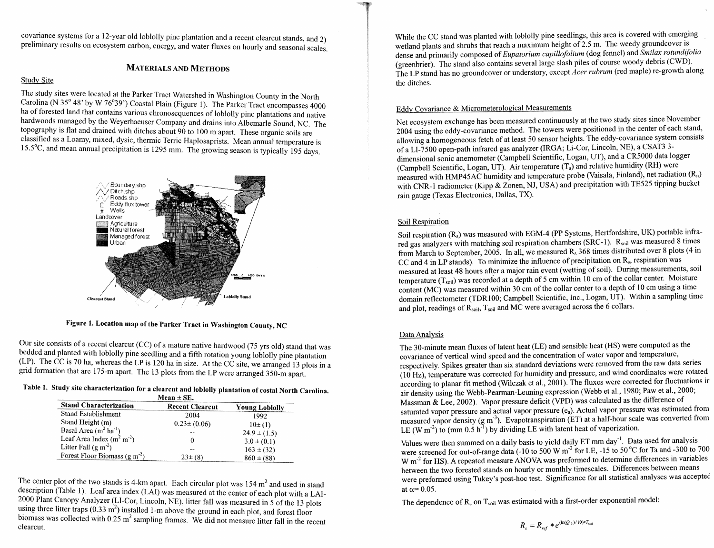covariance systems for a 12-year old loblolly pine plantation and a recent clearcut stands, and 2) preliminary results on ecosystem carbon, energy, and water fluxes on hourly and seasonal scales.

## **MATERIALS AND METHODS**

#### Study Site

The study sites were located at the Parker Tract Watershed in Washington County in the North Carolina (N 35° 48' by W 76°39') Coastal Plain (Figure 1). The Parker Tract encompasses 4000 ha of forested land that contains various chronosequences of loblolly pine plantations and native hardwoods managed by the Weyerhaeuser Company and drains into Albemarle Sound, NC. The topography is flat and drained with ditches about 90 to 100 m apart. These organic soils are classified as a Loamy, mixed, dysic, thennic Terric Haplosaprists. Mean annual temperature is 15.5'C, and mean annual precipitation is 1295 mm. The growing season is typically 195 days.



**Figure 1. Location map of the Parker Tract in Washington County, NC** 

Our site consists of a recent clearcut (CC) of a mature native hardwood (75 yrs old) stand that was bedded and planted with loblolly pine seedling and a fifth rotation young loblolly pine plantation (LP). The CC is 70 ha, whereas the LP is 120 ha in size. At the CC site, we arranged 13 plots in a grid formation that are 175-m apart. The 13 plots from the LP were arranged 350-m apart.

**Table 1. Study site characterization for a clearcut and loblolly plantation of costal North Carolina. Mean** \* **SE.** 

| ічсан з эг.                    |                        |                       |  |  |  |  |
|--------------------------------|------------------------|-----------------------|--|--|--|--|
| <b>Stand Characterization</b>  | <b>Recent Clearcut</b> | <b>Young Loblolly</b> |  |  |  |  |
| Stand Establishment            | 2004                   | 1992                  |  |  |  |  |
| Stand Height (m)               | $0.23 \pm (0.06)$      | $10\pm(1)$            |  |  |  |  |
| Basal Area $(m^2 ha^{-1})$     |                        | $24.9 \pm (1.5)$      |  |  |  |  |
| Leaf Area Index $(m2 m-2)$     |                        | $3.0 \pm (0.1)$       |  |  |  |  |
| Litter Fall $(g m2)$           |                        | $163 \pm (32)$        |  |  |  |  |
| Forest Floor Biomass $(g m-2)$ | $23\pm(8)$             | $860 \pm (88)$        |  |  |  |  |

The center plot of the two stands is 4-km apart. Each circular plot was  $154 \text{ m}^2$  and used in stand description (Table 1). Leaf area index (LAI) was measured at the center of each plot with a LAI-2000 Plant Canopy Analyzer (LI-Cor, Lincoln, NE), litter fall was measured in 5 of the 13 plots using three litter traps  $(0.33 \text{ m}^2)$  installed 1-m above the ground in each plot, and forest floor biomass was collected with  $0.25 \text{ m}^2$  sampling frames. We did not measure litter fall in the recent clearcut.

While the CC stand was planted with loblolly pine seedlings, this area is covered with emerging wetland plants and shrubs that reach a maximum height of 2.5 m. The weedy groundcover is dense and primarily composed of *Eupaforium capillofolium* (dog fennel) and **Smilax** *rofundifolia*  (greenbrier). The stand also contains several large slash piles of course woody debris (CWD). The LP stand has no groundcover or understory, except *Acer rubrum* (red maple) re-growth along the ditches.

## Eddv Covariance & Micrometerological Measurements

Net ecosystem exchange has been measured continuously at the two study sites since November 2004 using the eddy-covariance method. The towers were positioned in the center of each stand, allowing a homogeneous fetch of at least 50 sensor heights. The eddy-covariance system consists of a LI-7500 open-path infrared gas analyzer (IRGA; Li-Cor, Lincoln, NE), a CSAT3 3 dimensional sonic anemometer (Campbell Scientific, Logan, UT), and a CRSOOO data logger (Campbell Scientific, Logan, UT). Air temperature  $(T_a)$  and relative humidity (RH) were measured with HMP45AC humidity and temperature probe (Vaisala, Finland), net radiation (R<sub>n</sub>) with CNR-1 radiometer (Kipp & Zonen, NJ, USA) and precipitation with TE525 tipping bucket rain gauge (Texas Electronics, Dallas, TX).

## Soil Respiration

Soil respiration (R<sub>s</sub>) was measured with EGM-4 (PP Systems, Hertfordshire, UK) portable infrared gas analyzers with matching soil respiration chambers (SRC-1). R<sub>soil</sub> was measured 8 times from March to September, 2005. In all, we measured  $R_s$  368 times distributed over 8 plots (4 in CC and 4 in LP stands). To minimize the influence of precipitation on Rs, respiration was measured at least 48 hours after a major rain event (wetting of soil). During measurements, soil temperature  $(T_{soil})$  was recorded at a depth of 5 cm within 10 cm of the collar center. Moisture content (MC) was measured within 30 cm of the collar center to a depth of 10 cm using a time domain reflectometer (TDR100; Campbell Scientific, Inc., Logan, UT). Within a sampling time and plot, readings of  $R_{\text{soil}}$ ,  $T_{\text{soil}}$  and MC were averaged across the 6 collars.

## Data Analvsis

The 30-minute mean fluxes of latent heat (LE) and sensible heat (HS) were computed as the covariance of vertical wind speed and the concentration of water vapor and temperature, respectively. Spikes greater than six standard deviations were removed from the raw data series (10 Hz), temperature was corrected for humidity and pressure, and wind coordinates were rotated according to planar fit method (Wilczak et al., 2001). The fluxes were corrected for fluctuations ir air density using the Webb-Peaman-Leuning expression (Webb et al., 1980; Paw et al., 2000; Massman & Lee, 2002). Vapor pressure deficit (VPD) was calculated as the difference of saturated vapor pressure and actual vapor pressure (e.a). Actual vapor pressure was estimated from measured vapor density (g m<sup>-3</sup>). Evapotranspiration (ET) at a half-hour scale was converted from LE (W m<sup>2</sup>) to (mm 0.5 h<sup>-1</sup>) by dividing LE with latent heat of vaporization.

Values were then summed on a daily basis to yield daily  $E1$  mm day. Data used for analysis were screened for out-of-range data (-10 to 500 W m<sup>-</sup> for LE, -15 to 50°C for Ta and -500 to 700<sup>0</sup> W m<sup>-2</sup> for HS). A repeated measure ANOVA was preformed to determine differences in variables between the two forested stands on hourly or monthly timescales. Differences between means were preformed using Tukey's post-hoc test. Significance for all statistical analyses was accepted at  $\alpha$  = 0.05.

The dependence of  $R_s$  on  $T_{soli}$  was estimated with a first-order exponential model: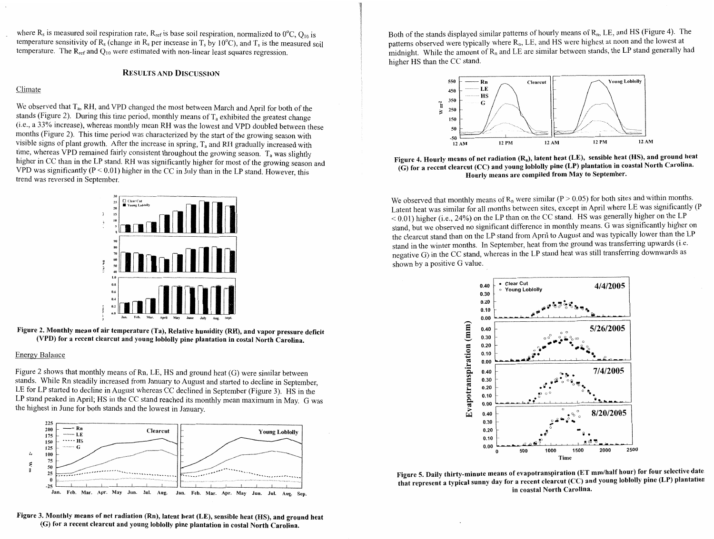where  $R_s$  is measured soil respiration rate,  $R_{ref}$  is base soil respiration, normalized to  $0^{\circ}C$ ,  $Q_{10}$  is temperature sensitivity of  $R_s$  (change in  $R_s$  per increase in  $T_s$  by 10<sup>o</sup>C), and  $T_s$  is the measured soil temperature. The  $R_{ref}$  and  $Q_{10}$  were estimated with non-linear least squares regression.

#### **RESULTS AND DISCUSSION**

#### Climate

We observed that  $T_a$ , RH, and VPD changed the most between March and April for both of the stands (Figure 2). During this time period, monthly means of  $T_a$  exhibited the greatest change (i.e., a 33% increase), whereas monthly mean **RII** was the lowest and VPD doubled between these months (Figure 2). This time period was characterized by the start of the growing season with visible signs of plant growth. After the increase in spring,  $T_a$  and RH gradually increased with time, whereas VPD remained fairly consistent throughout the growing season.  $T_a$  was slightly higher in CC than in the LP stand. RH was significantly higher for most of the growing season and VPD was significantly  $(P < 0.01)$  higher in the CC in July than in the LP stand. However, this trend was reversed in September.



**Figure 2. Monthly mean of air temperature (Ta), Relative humidity (RH), and vapor pressure deficit (VPD) for a recent clearcut and young loblolly pine plantation in costal North Carolina.** 

#### Energy Balance

Figure 2 shows that monthly means of Rn, LE, HS and ground heat  $(G)$  were similar between stands. While Rn steadily increased from January to August and started to decline in September, LE for LP started to decline in August whereas CC declined in September (Figure 3). HS in the LP stand peaked in April; HS in the CC stand reached its monthly mean maximum in May. G was the highest in June for both stands and the lowest in January.



**Figure 3. Monthly means of net radiation (Rn), latent heat (LE), sensible heat (HS), and ground heat (C) for a recent clearcut and young loblolly pine plantation in costal North Carolina.** 

Both of the stands displayed similar patterns of hourly means of R<sub>n</sub>, LE, and HS (Figure 4). The patterns observed were typically where  $R_p$ , LE, and HS were highest at noon and the lowest at midnight. While the amount of  $R_n$  and LE are similar between stands, the LP stand generally had higher HS than the CC stand.



Figure 4. Hourly means of net radiation (R<sub>n</sub>), latent heat (LE), sensible heat (HS), and ground heat **(G) for a recent clearcut (CC) and young loblolly pine (LP) plantation in coastal North Carolina. IIourly means are compiled from May to September.** 

We observed that monthly means of  $R_n$  were similar (P > 0.05) for both sites and within months. Latent heat was similar for all months between sites, except in April where LE was significantly (P < 0.01) higher (i.e., 24%) on the LP than on the CC stand. HS was generally higher on the LP stand, but we observed no significant difference in monthly means. G was significantly higher on the clearcut stand than on the LP stand from April to August and was typically lower than the LP stand in the winter months. In September, heat from the ground was transferring upwards (i.e. negative G) in the CC stand, whereas in the LP stand heat was still transferring downwards as shown by a positive G value.



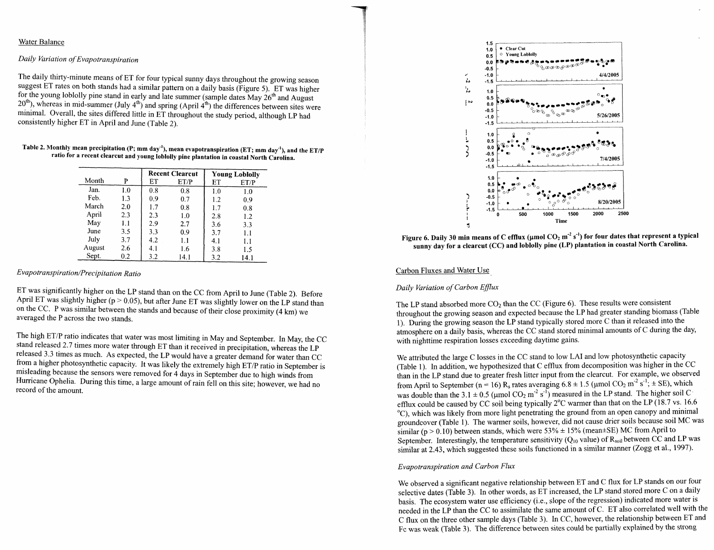#### Water Balance

### *Daily Variation of Evapotranspiration*

The daily thirty-minute means of ET for four typical sunny days throughout the growing season suggest ET rates on both stands had a similar pattern on a daily basis (Figure 5). ET was higher for the young loblolly pine stand in early and late summer (sample dates  $\text{May } 26^{\text{th}}$  and August  $20<sup>th</sup>$ ), whereas in mid-summer (July 4<sup>th</sup>) and spring (April 4<sup>th</sup>) the differences between sites were minimal. Overall, the sites differed little in ET throughout the study period, although LP had consistently higher ET in April and June (Table 2).

| Table 2. Monthly mean precipitation (P; mm day <sup>-1</sup> ), mean evapotranspiration (ET; mm day <sup>-1</sup> ), and the ET/P |
|-----------------------------------------------------------------------------------------------------------------------------------|
| ratio for a recent clearcut and young loblolly pine plantation in coastal North Carolina.                                         |

|        |     | <b>Recent Clearcut</b> |      | <b>Young Loblolly</b> |      |
|--------|-----|------------------------|------|-----------------------|------|
| Month  | P   | ET                     | ET/P | ET                    | ET/P |
| Jan.   | 1.0 | 0.8                    | 0.8  | 1.0                   | 1.0  |
| Feb.   | 1.3 | 0.9                    | 0.7  | 1.2                   | 0.9  |
| March  | 2.0 | 1.7                    | 0.8  | 1.7                   | 0.8  |
| April  | 2.3 | 2.3                    | 1.0  | 2.8                   | 1.2  |
| May    | 1.1 | 2.9                    | 2.7  | 3.6                   | 3.3  |
| June   | 3.5 | 3.3                    | 0.9  | 3.7                   | 1.1  |
| July   | 3.7 | 4.2                    | 1.1  | 4.1                   | 1.1  |
| August | 2.6 | 4.1                    | 1.6  | 3.8                   | 1.5  |
| Sept.  | 0.2 | 3.2                    | 14.1 | 3.2                   | 14.1 |

#### $Evapotranspiration/Precipitation$  *Ratio*

ET was significantly higher on the LP stand than on the CC from April to June (Table 2). Before April ET was slightly higher ( $p > 0.05$ ), but after June ET was slightly lower on the LP stand than on the CC. P was similar between the stands and because of their close proximity (4 **krn)** we averaged the P across the two stands.

The high ET/P ratio indicates that water was most limiting in May and September. In May, the CC stand released 2.7 times more water through ET than it received in precipitation, whereas the LP released 3.3 times as much. As expected, the LP would have a greater demand for water than CC from a higher photosynthetic capacity. It was likely the extremely high ET/P ratio in September is misleading because the sensors were removed for 4 days in September due to high winds from Hurricane Ophelia. During this time, a large amount of rain fell on this site; however, we had no record of the amount.



Figure 6. Daily 30 min means of C efflux (umol CO<sub>2</sub> m<sup>-2</sup> s<sup>-1</sup>) for four dates that represent a typical **sunny day for a clearcut (CC) and loblolly pine (LP) plantation in coastal North Carolina.** 

#### Carbon Fluxes and Water Use

#### *Daily Variation of Carbon Eflux*

The LP stand absorbed more  $CO<sub>2</sub>$  than the CC (Figure 6). These results were consistent throughout the growing season and expected because the LP had greater standing biomass (Table 1). During the growing season the LP stand typically stored more C than it released into the atmosphere on a daily basis, whereas the CC stand stored minimal amounts of C during the day, with nighttime respiration losses exceeding daytime gains.

We attributed the large C losses in the CC stand to low LAI and low photosynthetic capacity (Table 1). In addition, we hypothesized that C efflux from decomposition was higher in the CC than in the LP stand due to greater fresh litter input from the clearcut. For example, we observed from April to September (n = 16) R<sub>s</sub> rates averaging  $6.8 \pm 1.5$  (µmol CO<sub>2</sub> m<sup>-2</sup> s<sup>-1</sup>;  $\pm$  SE), which was double than the 3.1  $\pm$  0.5 (umol CO<sub>2</sub> m<sup>-2</sup> s<sup>-I</sup>) measured in the LP stand. The higher soil C efflux could be caused by CC soil being typically  $2^{\circ}$ C warmer than that on the LP (18.7 vs. 16.6 'C), which was likely from more light penetrating the ground from an open canopy and minimal groundcover (Table 1). The warmer soils, however, did not cause drier soils because soil MC was similar (p > 0.10) between stands, which were  $53\% \pm 15\%$  (mean $\pm$ SE) MC from April to September. Interestingly, the temperature sensitivity ( $Q_{10}$  value) of  $R_{\text{soil}}$  between CC and LP was similar at 2.43, which suggested these soils finctioned in a similar manner (Zogg et al., 1997).

#### *Evapotranspiration and Carbon Flux*

We observed a significant negative relationship between ET and C flux for LP stands on our four selective dates (Table 3). In other words, as ET increased, the LP stand stored more C on a daily basis. The ecosystem water use efficiency (i.e., slope of the regression) indicated more water is needed in the LP than the CC to assimilate the same amount of C. ET also correlated well with the C flux on the three other sample days (Table 3). In CC, however, the relationship between ET and Fc was weak (Table 3). The difference between sites could be partially explained by the strong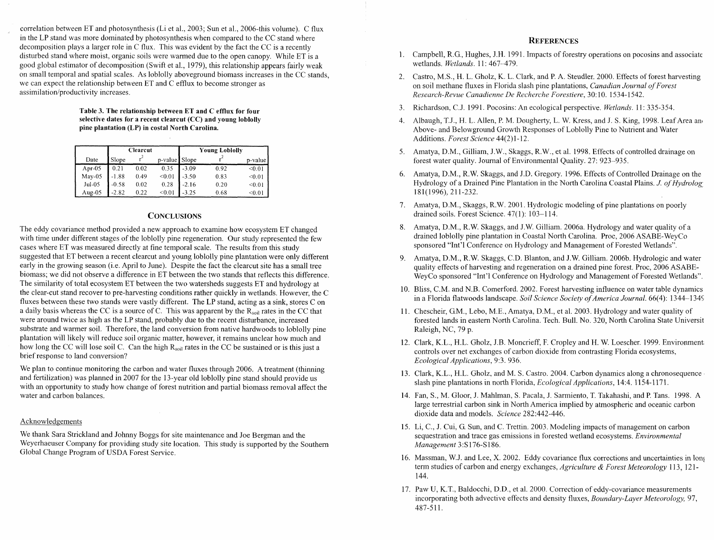correlation between ET and photosynthesis (Li et al., 2003; Sun et al., 2006-this volume). C flux in the LP stand was more donlinated by photosynthesis when compared to the CC stand where decomposition plays a larger role in C flux. This was evident by the fact the CC is a recently disturbed stand where moist, organic soils were warmed due to the open canopy. While ET is a good global estimator of decomposition (Swift et al., 1979), this relationship appears fairly weak on stnall temporal and spatial scales. As loblolly aboveground biomass increases in the CC stands, we can expect the relationship between  $ET$  and  $C$  efflux to become stronger as **assiinilation/productivity** increases.

> **Table 3. The relationship between ET and C efflux for four selective dates for a recent clearcut (CC) and young loblolly pine plantation (LP) in costal North Carolina.**

|           | Clearcut |      |               | <b>Young Loblolly</b> |      |         |
|-----------|----------|------|---------------|-----------------------|------|---------|
| Date      | Slope    |      | p-value Slope |                       |      | p-value |
| Apr- $05$ | 0.21     | 0.02 | 0.35          | $-3.09$               | 0.92 | < 0.01  |
| May-05    | $-1.88$  | 0.49 | < 0.01        | $-3.50$               | 0.83 | < 0.01  |
| $Jul-05$  | $-0.58$  | 0.02 | 0.28          | $-2.16$               | 0.20 | < 0.01  |
| Aug-05    | $-2.82$  | 0.22 | < 0.01        | $-3.25$               | 0.68 | < 0.01  |

## **CONCLUSIONS**

The eddy covariance method provided a new approach to examine how ecosystem ET changed with time under different stages of the loblolly pine regeneration. Our study represented the few cases where ET was measured directly at fine temporal scale. The results from this study suggested that ET between a recent clearcut and young loblolly pine plantation were only different early in the growing season (i.e. April to June). Despite the fact the clearcut site has a small tree biomass; we did not observe a difference in ET between the two stands that reflects this difference. The similarity of total ecosystem ET between the two watersheds suggests ET and hydrology at the clear-cut stand recover to pre-harvesting conditions rather quickly in wetlands. However, the C fluxes between these two stands were vastly different. The LP stand, acting as a sink, stores C on a daily basis whereas the CC is a source of C. This was apparent by the  $R_{\text{sol}}$  rates in the CC that were around twice as high as the LP stand, probably due to the recent disturbance, increased substrate and warmer soil. Therefore, the land conversion from native hardwoods to loblolly pine plantation will likely will reduce soil organic matter, however, it remains unclear how much and how long the CC will lose soil C. Can the high  $R_{\text{coil}}$  rates in the CC be sustained or is this just a brief response to land conversion?

We plan to continue monitoring the carbon and water fluxes through 2006. A treatment (thinning and fertilization) was planned in 2007 for the 13-year old loblolly pine stand should provide us with an opportunity to study how change of forest nutrition and partial biomass removal affect the water and carbon balances.

#### Acknowledgements

We thank Sara Strickland and Johnny Boggs for site maintenance and Joe Bergman and the Weyerhaeuser Company for providing study site location. This study is supported by the Southern Global Change Program of USDA Forest Service.

#### **REFERENCES**

- 1. Campbell, R.G., Hughes, J.H. 1991. Impacts of forestry operations on pocosins and associate wetlands. *Wetlands*. 11: 467-479.
- 2. Castro, MS., H. L. Gholz, K. L. Clark, and P. A. Steudler. 2000. Effects of forest harvesting on soil methane fluxes in Florida slash pine plantations, Canadian Journal of Forest Research-Revue Canadienne De Recherche Forestiere, 30:10. 1534-1542.
- 3. Richardson, C.J. 1991. Pocosins: An ecological perspective. Wetlands. 11: 335-354.
- 4. Albaugh, T.J., H. L. Allen, P. M. Dougherty, L. W. Kress, and J. S. King, 1998. Leaf Area and Above- and Belowground Growth Responses of Loblolly Pine to Nutrient and Water Additions. Forest Science 44(2)1-12.
- 5. Amatya, D.M., Gilliam, J.W., Skaggs, R.W., et al. 1998. Effects of controlled drainage on forest water quality. Journal of Environmental Quality. 27: 923--935.
- 6. Amatya, D.M., R.W. Skaggs, and J.D. Gregory. 1996. Effects of Controlled Drainage on the Hydrology of a Drained Pine Plantation in the North Carolina Coastal Plains. J. of Hydrolog 181(1996), 211-232.
- 7. Amatya, D.M., Skaggs, R.W. 2001. Hydrologic modeling of pine plantations on poorly drained soils. Forest Science. 47(1): 103-1 14.
- 8. Amatya, D.M., R.W. Skaggs, and J.W. Gilliam. 2006a. Hydrology and water quality of a drained loblolly pine plantation in Coastal North Carolina. Proc, 2006 ASABE-WeyCo sponsored "Int'l Conference on Hydrology and Management of Forested Wetlands".
- 9. Amatya, D.M., R.W. Skaggs, C.D. Blanton, and J.W. Gilliam. 2006b. Hydrologic and water quality effects of harvesting and regeneration on a drained pine forest. Proc, 2006 ASABE-WeyCo sponsored "Int'l Conference on Hydrology and Management of Forested Wetlands".
- 10. Bliss, C.M. and N.B. Comerford. 2002. Forest harvesting influence on water table dynamics in a Florida flatwoods landscape. Soil Science Society of America Journal. 66(4): 1344-1345
- 11. Chescheir, GM., Lebo, M.E., Amatya, D.M., et al. 2003. Hydrology and water quality of forested lands in eastern North Carolina. Tech. Bull. No. 320, North Carolina State Universit Raleigh, NC, 79 p,
- 12. Clark, K.L., H.L. Gholz, J.B. Moncrieff, F. Cropley and H. W. Loescher. 1999. Environment, controls over net exchanges of carbon dioxide from contrasting Florida ecosystems, Ecological Applications, 9:3. 936.
- 13. Clark, K.L., H.L. Gholz, and M. **S.** Castro. 2004. Carbon dynamics along a chronosequence slash pine plantations in north Florida, *Ecological Applications*, 14:4. 1154-1171.
- 14. Fan, S., M. Gloor, J. Mahlman, S. Pacala, J. Sanniento, T. Takahashi, and P. Tans. 1998. A large terrestrial carbon sink in North America implied by atmospheric and oceanic carbon dioxide data and models. Science 282:442-446.
- 15. Li, C., J. Cui, G. Sun, and C. Trettin. 2003. Modeling impacts of management on carbon sequestration and trace gas emissions in forested wetland ecosystems. Environmental Management 3:S176-S186.
- 16. Massman, W.J. and Lee, X. 2002. Eddy covariance flux corrections and uncertainties in lonj term studies of carbon and energy exchanges, Agriculture & Forest Meteorology 113, 121-144.
- 17. Paw U, K.T., Baldocchi, D.D., et al. 2000. Correction of eddy-covariance measurements incorporating both advective effects and density fluxes, Boundary-Layer Meteorology, 97, 487-5 1 1.